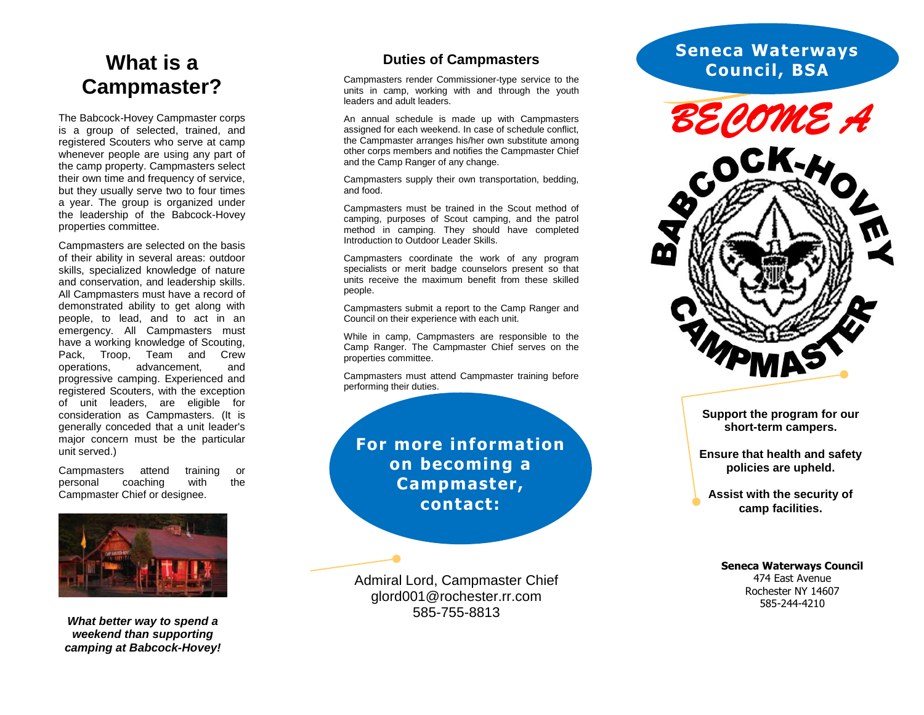## **Campmaster?**

The Babcock -Hovey Campmaster corps is a group of selected, trained, and registered Scouters who serve at camp whenever people are using any part of the camp property. Campmasters select their own time and frequency of service, but they usually serve two to four times a year. The group is organized under the leadership of the Babcock -Hovey properties committee.

Campmasters are selected on the basis of their ability in several areas: outdoor skills, specialized knowledge of nature and conservation, and leadership skills. All Campmasters must have a record of demonstrated ability to get along with people, to lead, and to act in an emergency. All Campmasters must have a working knowledge of Scouting, Pack, Troop, Team and Crew operations, advancement, and progressive camping. Experienced and registered Scouters, with the exception of unit leaders, are eligible for consideration as Campmasters. (It is generally conceded that a unit leader's major concern must be the particular unit served.) **What is a**<br> **Campmaster**<br>
The Babcock-Hovey Campmast<br>
is a group of selected, train<br>
registered Scouters who serve<br>
whenever people are using any<br>
their own time and frequency of<br>
their own time and frequency of<br>
to to th

Campmasters attend training or personal coaching with the



**What better way to spend a** *weekend than supporting camping at Babcock-Hovey!*

## **Duties of Campmasters**

Campmasters render Commissioner -type service to the units in camp, working with and through the youth leaders and adult leaders.

An annual schedule is made up with Campmasters assigned for each weekend. In case of schedule conflict, the Campmaster arranges his/her own substitute among other corps members and notifies the Campmaster Chief and the Camp Ranger of any change.

Campmasters supply their own transportation, bedding, and food.

Campmasters must be trained in the Scout method of camping, purposes of Scout camping, and the patrol method in camping. They should have completed Introduction to Outdoor Leader Skills.

Campmasters coordinate the work of any program specialists or merit badge counselors present so that units receive the maximum benefit from these skilled people.

Campmasters submit a report to the Camp Ranger and Council on their experience with each unit.

While in camp, Campmasters are responsible to the Camp Ranger. The Campmaster Chief serves on the properties committee.

Campmasters must attend Campmaster training before performing their duties.

**For more information on becoming a Campmaster, contact:**

Admiral Lord, Campmaster Chief [glord001@rochester.rr.com](mailto:glord001@rochester.rr.com) 585 -755

## **Seneca Waterways Council, BSA**



**Support the program for our short -term campers.**

**Ensure that health and safety policies are upheld.**

**Assist with the security of camp facilities.**

**Seneca Waterways Council** 474 East Avenue Rochester NY 14607 585 -244 -4210